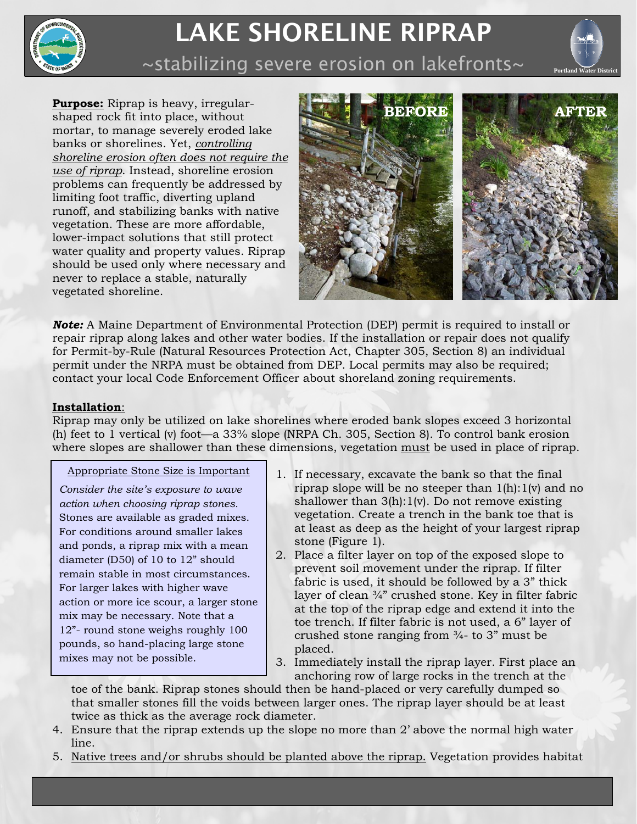

# LAKE SHORELINE RIPRAP



 $\sim$ stabilizing severe erosion on lakefronts~

**Purpose:** Riprap is heavy, irregularshaped rock fit into place, without mortar, to manage severely eroded lake banks or shorelines. Yet, *controlling shoreline erosion often does not require the use of riprap*. Instead, shoreline erosion problems can frequently be addressed by limiting foot traffic, diverting upland runoff, and stabilizing banks with native vegetation. These are more affordable, lower-impact solutions that still protect water quality and property values. Riprap should be used only where necessary and never to replace a stable, naturally vegetated shoreline.



*Note:* A Maine Department of Environmental Protection (DEP) permit is required to install or repair riprap along lakes and other water bodies. If the installation or repair does not qualify for Permit-by-Rule (Natural Resources Protection Act, Chapter 305, Section 8) an individual permit under the NRPA must be obtained from DEP. Local permits may also be required; contact your local Code Enforcement Officer about shoreland zoning requirements.

# **Installation**:

Riprap may only be utilized on lake shorelines where eroded bank slopes exceed 3 horizontal (h) feet to 1 vertical (v) foot—a 33% slope (NRPA Ch. 305, Section 8). To control bank erosion where slopes are shallower than these dimensions, vegetation must be used in place of riprap.

Appropriate Stone Size is Important

*Consider the site's exposure to wave action when choosing riprap stones.* Stones are available as graded mixes. For conditions around smaller lakes and ponds, a riprap mix with a mean diameter (D50) of 10 to 12" should remain stable in most circumstances. For larger lakes with higher wave action or more ice scour, a larger stone mix may be necessary. Note that a 12"- round stone weighs roughly 100 pounds, so hand-placing large stone mixes may not be possible.

- 1. If necessary, excavate the bank so that the final riprap slope will be no steeper than 1(h):1(v) and no shallower than 3(h):1(v). Do not remove existing vegetation. Create a trench in the bank toe that is at least as deep as the height of your largest riprap stone (Figure 1).
- 2. Place a filter layer on top of the exposed slope to prevent soil movement under the riprap. If filter fabric is used, it should be followed by a 3" thick layer of clean ¾" crushed stone. Key in filter fabric at the top of the riprap edge and extend it into the toe trench. If filter fabric is not used, a 6" layer of crushed stone ranging from ¾- to 3" must be placed.
- 3. Immediately install the riprap layer. First place an anchoring row of large rocks in the trench at the

toe of the bank. Riprap stones should then be hand-placed or very carefully dumped so that smaller stones fill the voids between larger ones. The riprap layer should be at least twice as thick as the average rock diameter.

- 4. Ensure that the riprap extends up the slope no more than 2' above the normal high water line.
- 5. Native trees and/or shrubs should be planted above the riprap. Vegetation provides habitat